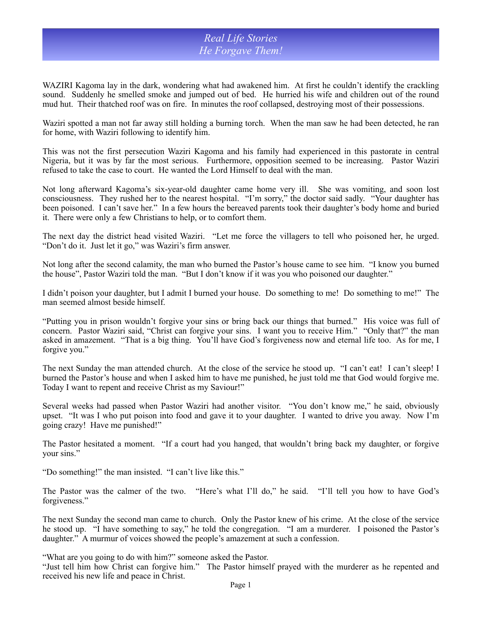## *Real Life Stories He Forgave Them!*

WAZIRI Kagoma lay in the dark, wondering what had awakened him. At first he couldn't identify the crackling sound. Suddenly he smelled smoke and jumped out of bed. He hurried his wife and children out of the round mud hut. Their thatched roof was on fire. In minutes the roof collapsed, destroying most of their possessions.

Waziri spotted a man not far away still holding a burning torch. When the man saw he had been detected, he ran for home, with Waziri following to identify him.

This was not the first persecution Waziri Kagoma and his family had experienced in this pastorate in central Nigeria, but it was by far the most serious. Furthermore, opposition seemed to be increasing. Pastor Waziri refused to take the case to court. He wanted the Lord Himself to deal with the man.

Not long afterward Kagoma's six-year-old daughter came home very ill. She was vomiting, and soon lost consciousness. They rushed her to the nearest hospital. "I'm sorry," the doctor said sadly. "Your daughter has been poisoned. I can't save her." In a few hours the bereaved parents took their daughter's body home and buried it. There were only a few Christians to help, or to comfort them.

The next day the district head visited Waziri. "Let me force the villagers to tell who poisoned her, he urged. "Don't do it. Just let it go," was Waziri's firm answer.

Not long after the second calamity, the man who burned the Pastor's house came to see him. "I know you burned the house", Pastor Waziri told the man. "But I don't know if it was you who poisoned our daughter."

I didn't poison your daughter, but I admit I burned your house. Do something to me! Do something to me!" The man seemed almost beside himself.

"Putting you in prison wouldn't forgive your sins or bring back our things that burned." His voice was full of concern. Pastor Waziri said, "Christ can forgive your sins. I want you to receive Him." "Only that?" the man asked in amazement. "That is a big thing. You'll have God's forgiveness now and eternal life too. As for me, I forgive you."

The next Sunday the man attended church. At the close of the service he stood up. "I can't eat! I can't sleep! I burned the Pastor's house and when I asked him to have me punished, he just told me that God would forgive me. Today I want to repent and receive Christ as my Saviour!"

Several weeks had passed when Pastor Waziri had another visitor. "You don't know me," he said, obviously upset. "It was I who put poison into food and gave it to your daughter. I wanted to drive you away. Now I'm going crazy! Have me punished!"

The Pastor hesitated a moment. "If a court had you hanged, that wouldn't bring back my daughter, or forgive your sins."

"Do something!" the man insisted. "I can't live like this."

The Pastor was the calmer of the two. "Here's what I'll do," he said. "I'll tell you how to have God's forgiveness."

The next Sunday the second man came to church. Only the Pastor knew of his crime. At the close of the service he stood up. "I have something to say," he told the congregation. "I am a murderer. I poisoned the Pastor's daughter." A murmur of voices showed the people's amazement at such a confession.

"What are you going to do with him?" someone asked the Pastor.

"Just tell him how Christ can forgive him." The Pastor himself prayed with the murderer as he repented and received his new life and peace in Christ.